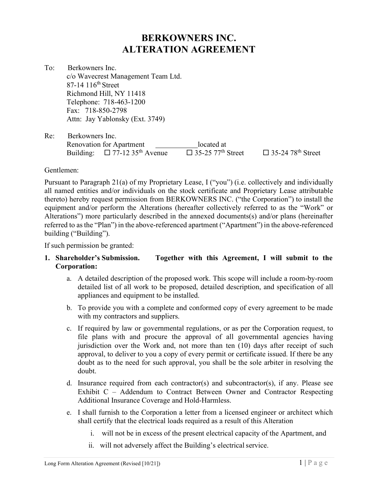### BERKOWNERS INC. ALTERATION AGREEMENT

To: Berkowners Inc. c/o Wavecrest Management Team Ltd. 87-14 116<sup>th</sup> Street Richmond Hill, NY 11418 Telephone: 718-463-1200 Fax: 718-850-2798 Attn: Jay Yablonsky (Ext. 3749)

Re: Berkowners Inc. Renovation for Apartment located at<br>Building:  $\Box$  77-12 35<sup>th</sup> Avenue  $\Box$  35-25 77<sup>th</sup> 9  $\overline{\square}$  35-25 77<sup>th</sup> Street  $\square$  35-24 78<sup>th</sup> Street

Gentlemen:

Pursuant to Paragraph 21(a) of my Proprietary Lease, I ("you") (i.e. collectively and individually all named entities and/or individuals on the stock certificate and Proprietary Lease attributable thereto) hereby request permission from BERKOWNERS INC. ("the Corporation") to install the equipment and/or perform the Alterations (hereafter collectively referred to as the "Work" or Alterations") more particularly described in the annexed documents(s) and/or plans (hereinafter referred to as the "Plan") in the above-referenced apartment ("Apartment") in the above-referenced building ("Building").

If such permission be granted:

### 1. Shareholder's Submission. Together with this Agreement, I will submit to the Corporation:

- a. A detailed description of the proposed work. This scope will include a room-by-room detailed list of all work to be proposed, detailed description, and specification of all appliances and equipment to be installed.
- b. To provide you with a complete and conformed copy of every agreement to be made with my contractors and suppliers.
- c. If required by law or governmental regulations, or as per the Corporation request, to file plans with and procure the approval of all governmental agencies having jurisdiction over the Work and, not more than ten (10) days after receipt of such approval, to deliver to you a copy of every permit or certificate issued. If there be any doubt as to the need for such approval, you shall be the sole arbiter in resolving the doubt.
- d. Insurance required from each contractor(s) and subcontractor(s), if any. Please see Exhibit C – Addendum to Contract Between Owner and Contractor Respecting Additional Insurance Coverage and Hold-Harmless.
- e. I shall furnish to the Corporation a letter from a licensed engineer or architect which shall certify that the electrical loads required as a result of this Alteration
	- i. will not be in excess of the present electrical capacity of the Apartment, and
	- ii. will not adversely affect the Building's electrical service.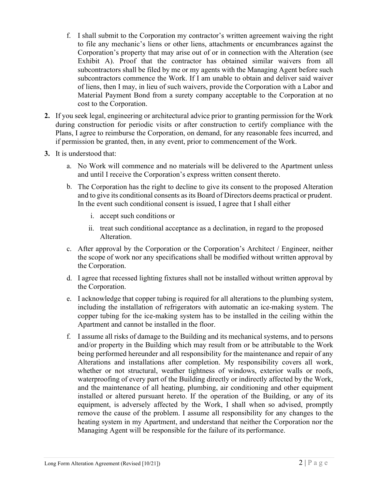- f. I shall submit to the Corporation my contractor's written agreement waiving the right to file any mechanic's liens or other liens, attachments or encumbrances against the Corporation's property that may arise out of or in connection with the Alteration (see Exhibit A). Proof that the contractor has obtained similar waivers from all subcontractors shall be filed by me or my agents with the Managing Agent before such subcontractors commence the Work. If I am unable to obtain and deliver said waiver of liens, then I may, in lieu of such waivers, provide the Corporation with a Labor and Material Payment Bond from a surety company acceptable to the Corporation at no cost to the Corporation.
- 2. If you seek legal, engineering or architectural advice prior to granting permission for the Work during construction for periodic visits or after construction to certify compliance with the Plans, I agree to reimburse the Corporation, on demand, for any reasonable fees incurred, and if permission be granted, then, in any event, prior to commencement of the Work.
- 3. It is understood that:
	- a. No Work will commence and no materials will be delivered to the Apartment unless and until I receive the Corporation's express written consent thereto.
	- b. The Corporation has the right to decline to give its consent to the proposed Alteration and to give its conditional consents as its Board of Directors deems practical or prudent. In the event such conditional consent is issued, I agree that I shall either
		- i. accept such conditions or
		- ii. treat such conditional acceptance as a declination, in regard to the proposed Alteration.
	- c. After approval by the Corporation or the Corporation's Architect / Engineer, neither the scope of work nor any specifications shall be modified without written approval by the Corporation.
	- d. I agree that recessed lighting fixtures shall not be installed without written approval by the Corporation.
	- e. I acknowledge that copper tubing is required for all alterations to the plumbing system, including the installation of refrigerators with automatic an ice-making system. The copper tubing for the ice-making system has to be installed in the ceiling within the Apartment and cannot be installed in the floor.
	- f. I assume all risks of damage to the Building and its mechanical systems, and to persons and/or property in the Building which may result from or be attributable to the Work being performed hereunder and all responsibility for the maintenance and repair of any Alterations and installations after completion. My responsibility covers all work, whether or not structural, weather tightness of windows, exterior walls or roofs, waterproofing of every part of the Building directly or indirectly affected by the Work, and the maintenance of all heating, plumbing, air conditioning and other equipment installed or altered pursuant hereto. If the operation of the Building, or any of its equipment, is adversely affected by the Work, I shall when so advised, promptly remove the cause of the problem. I assume all responsibility for any changes to the heating system in my Apartment, and understand that neither the Corporation nor the Managing Agent will be responsible for the failure of its performance.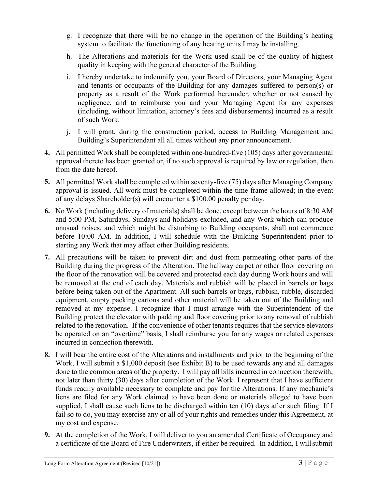- g. I recognize that there will be no change in the operation of the Building's heating system to facilitate the functioning of any heating units I may be installing.
- h. The Alterations and materials for the Work used shall be of the quality of highest quality in keeping with the general character of the Building.
- i. I hereby undertake to indemnify you, your Board of Directors, your Managing Agent and tenants or occupants of the Building for any damages suffered to person(s) or property as a result of the Work performed hereunder, whether or not caused by negligence, and to reimburse you and your Managing Agent for any expenses (including, without limitation, attorney's fees and disbursements) incurred as a result of such Work.
- j. I will grant, during the construction period, access to Building Management and Building's Superintendant all all times without any prior announcement.
- 4. All permitted Work shall be completed within one-hundred-five (105) days after governmental approval thereto has been granted or, if no such approval is required by law or regulation, then from the date hereof.
- 5. All permitted Work shall be completed within seventy-five (75) days after Managing Company approval is issued. All work must be completed within the time frame allowed; in the event of any delays Shareholder(s) will encounter a \$100.00 penalty per day.
- 6. No Work (including delivery of materials) shall be done, except between the hours of 8:30 AM and 5:00 PM, Saturdays, Sundays and holidays excluded, and any Work which can produce unusual noises, and which might be disturbing to Building occupants, shall not commence before 10:00 AM. In addition, I will schedule with the Building Superintendent prior to starting any Work that may affect other Building residents.
- 7. All precautions will be taken to prevent dirt and dust from permeating other parts of the Building during the progress of the Alteration. The hallway carpet or other floor covering on the floor of the renovation will be covered and protected each day during Work hours and will be removed at the end of each day. Materials and rubbish will be placed in barrels or bags before being taken out of the Apartment. All such barrels or bags, rubbish, rubble, discarded equipment, empty packing cartons and other material will be taken out of the Building and removed at my expense. I recognize that I must arrange with the Superintendent of the Building protect the elevator with padding and floor covering prior to any removal of rubbish related to the renovation. If the convenience of other tenants requires that the service elevators be operated on an "overtime" basis, I shall reimburse you for any wages or related expenses incurred in connection therewith.
- 8. I will bear the entire cost of the Alterations and installments and prior to the beginning of the Work, I will submit a \$1,000 deposit (see Exhibit B) to be used towards any and all damages done to the common areas of the property. I will pay all bills incurred in connection therewith, not later than thirty (30) days after completion of the Work. I represent that I have sufficient funds readily available necessary to complete and pay for the Alterations. If any mechanic's liens are filed for any Work claimed to have been done or materials alleged to have been supplied, I shall cause such liens to be discharged within ten (10) days after such filing. If I fail so to do, you may exercise any or all of your rights and remedies under this Agreement, at my cost and expense.
- 9. At the completion of the Work, I will deliver to you an amended Certificate of Occupancy and a certificate of the Board of Fire Underwriters, if either be required. In addition, I will submit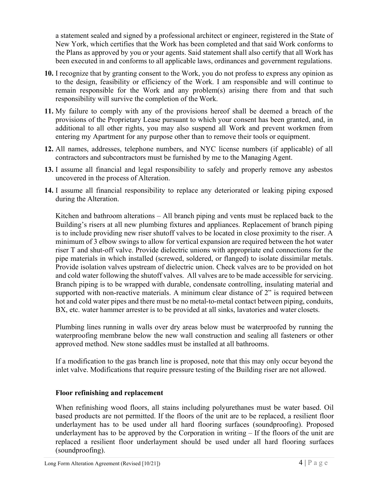a statement sealed and signed by a professional architect or engineer, registered in the State of New York, which certifies that the Work has been completed and that said Work conforms to the Plans as approved by you or your agents. Said statement shall also certify that all Work has been executed in and conforms to all applicable laws, ordinances and government regulations.

- 10. I recognize that by granting consent to the Work, you do not profess to express any opinion as to the design, feasibility or efficiency of the Work. I am responsible and will continue to remain responsible for the Work and any problem(s) arising there from and that such responsibility will survive the completion of the Work.
- 11. My failure to comply with any of the provisions hereof shall be deemed a breach of the provisions of the Proprietary Lease pursuant to which your consent has been granted, and, in additional to all other rights, you may also suspend all Work and prevent workmen from entering my Apartment for any purpose other than to remove their tools or equipment.
- 12. All names, addresses, telephone numbers, and NYC license numbers (if applicable) of all contractors and subcontractors must be furnished by me to the Managing Agent.
- 13. I assume all financial and legal responsibility to safely and properly remove any asbestos uncovered in the process of Alteration.
- 14. I assume all financial responsibility to replace any deteriorated or leaking piping exposed during the Alteration.

Kitchen and bathroom alterations – All branch piping and vents must be replaced back to the Building's risers at all new plumbing fixtures and appliances. Replacement of branch piping is to include providing new riser shutoff valves to be located in close proximity to the riser. A minimum of 3 elbow swings to allow for vertical expansion are required between the hot water riser T and shut-off valve. Provide dielectric unions with appropriate end connections for the pipe materials in which installed (screwed, soldered, or flanged) to isolate dissimilar metals. Provide isolation valves upstream of dielectric union. Check valves are to be provided on hot and cold water following the shutoff valves. All valves are to be made accessible for servicing. Branch piping is to be wrapped with durable, condensate controlling, insulating material and supported with non-reactive materials. A minimum clear distance of 2" is required between hot and cold water pipes and there must be no metal-to-metal contact between piping, conduits, BX, etc. water hammer arrester is to be provided at all sinks, lavatories and water closets.

Plumbing lines running in walls over dry areas below must be waterproofed by running the waterproofing membrane below the new wall construction and sealing all fasteners or other approved method. New stone saddles must be installed at all bathrooms.

If a modification to the gas branch line is proposed, note that this may only occur beyond the inlet valve. Modifications that require pressure testing of the Building riser are not allowed.

#### Floor refinishing and replacement

When refinishing wood floors, all stains including polyurethanes must be water based. Oil based products are not permitted. If the floors of the unit are to be replaced, a resilient floor underlayment has to be used under all hard flooring surfaces (soundproofing). Proposed underlayment has to be approved by the Corporation in writing – If the floors of the unit are replaced a resilient floor underlayment should be used under all hard flooring surfaces (soundproofing).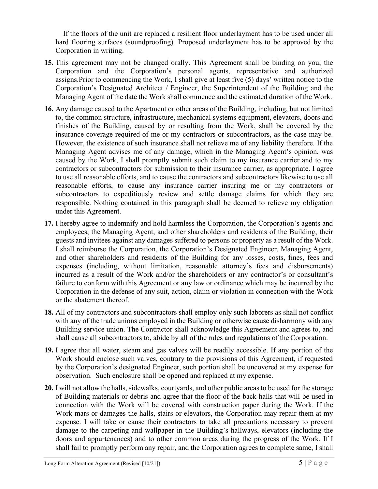– If the floors of the unit are replaced a resilient floor underlayment has to be used under all hard flooring surfaces (soundproofing). Proposed underlayment has to be approved by the Corporation in writing.

- 15. This agreement may not be changed orally. This Agreement shall be binding on you, the Corporation and the Corporation's personal agents, representative and authorized assigns.Prior to commencing the Work, I shall give at least five (5) days' written notice to the Corporation's Designated Architect / Engineer, the Superintendent of the Building and the Managing Agent of the date the Work shall commence and the estimated duration of the Work.
- 16. Any damage caused to the Apartment or other areas of the Building, including, but not limited to, the common structure, infrastructure, mechanical systems equipment, elevators, doors and finishes of the Building, caused by or resulting from the Work, shall be covered by the insurance coverage required of me or my contractors or subcontractors, as the case may be. However, the existence of such insurance shall not relieve me of any liability therefore. If the Managing Agent advises me of any damage, which in the Managing Agent's opinion, was caused by the Work, I shall promptly submit such claim to my insurance carrier and to my contractors or subcontractors for submission to their insurance carrier, as appropriate. I agree to use all reasonable efforts, and to cause the contractors and subcontractors likewise to use all reasonable efforts, to cause any insurance carrier insuring me or my contractors or subcontractors to expeditiously review and settle damage claims for which they are responsible. Nothing contained in this paragraph shall be deemed to relieve my obligation under this Agreement.
- 17. I hereby agree to indemnify and hold harmless the Corporation, the Corporation's agents and employees, the Managing Agent, and other shareholders and residents of the Building, their guests and invitees against any damages suffered to persons or property as a result of the Work. I shall reimburse the Corporation, the Corporation's Designated Engineer, Managing Agent, and other shareholders and residents of the Building for any losses, costs, fines, fees and expenses (including, without limitation, reasonable attorney's fees and disbursements) incurred as a result of the Work and/or the shareholders or any contractor's or consultant's failure to conform with this Agreement or any law or ordinance which may be incurred by the Corporation in the defense of any suit, action, claim or violation in connection with the Work or the abatement thereof.
- 18. All of my contractors and subcontractors shall employ only such laborers as shall not conflict with any of the trade unions employed in the Building or otherwise cause disharmony with any Building service union. The Contractor shall acknowledge this Agreement and agrees to, and shall cause all subcontractors to, abide by all of the rules and regulations of the Corporation.
- 19. I agree that all water, steam and gas valves will be readily accessible. If any portion of the Work should enclose such valves, contrary to the provisions of this Agreement, if requested by the Corporation's designated Engineer, such portion shall be uncovered at my expense for observation. Such enclosure shall be opened and replaced at my expense.
- 20. I will not allow the halls, sidewalks, courtyards, and other public areas to be used for the storage of Building materials or debris and agree that the floor of the back halls that will be used in connection with the Work will be covered with construction paper during the Work. If the Work mars or damages the halls, stairs or elevators, the Corporation may repair them at my expense. I will take or cause their contractors to take all precautions necessary to prevent damage to the carpeting and wallpaper in the Building's hallways, elevators (including the doors and appurtenances) and to other common areas during the progress of the Work. If I shall fail to promptly perform any repair, and the Corporation agrees to complete same, I shall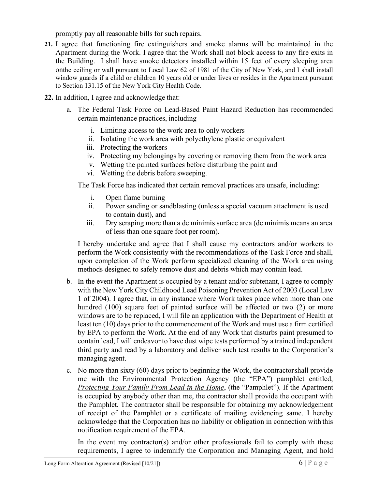promptly pay all reasonable bills for such repairs.

- 21. I agree that functioning fire extinguishers and smoke alarms will be maintained in the Apartment during the Work. I agree that the Work shall not block access to any fire exits in the Building. I shall have smoke detectors installed within 15 feet of every sleeping area onthe ceiling or wall pursuant to Local Law 62 of 1981 of the City of New York, and I shall install window guards if a child or children 10 years old or under lives or resides in the Apartment pursuant to Section 131.15 of the New York City Health Code.
- 22. In addition, I agree and acknowledge that:
	- a. The Federal Task Force on Lead-Based Paint Hazard Reduction has recommended certain maintenance practices, including
		- i. Limiting access to the work area to only workers
		- ii. Isolating the work area with polyethylene plastic or equivalent
		- iii. Protecting the workers
		- iv. Protecting my belongings by covering or removing them from the work area
		- v. Wetting the painted surfaces before disturbing the paint and
		- vi. Wetting the debris before sweeping.

The Task Force has indicated that certain removal practices are unsafe, including:

- i. Open flame burning
- ii. Power sanding or sandblasting (unless a special vacuum attachment is used to contain dust), and
- iii. Dry scraping more than a de minimis surface area (de minimis means an area of less than one square foot per room).

I hereby undertake and agree that I shall cause my contractors and/or workers to perform the Work consistently with the recommendations of the Task Force and shall, upon completion of the Work perform specialized cleaning of the Work area using methods designed to safely remove dust and debris which may contain lead.

- b. In the event the Apartment is occupied by a tenant and/or subtenant, I agree to comply with the New York City Childhood Lead Poisoning Prevention Act of 2003 (Local Law 1 of 2004). I agree that, in any instance where Work takes place when more than one hundred (100) square feet of painted surface will be affected or two (2) or more windows are to be replaced, I will file an application with the Department of Health at least ten (10) days prior to the commencement of the Work and must use a firm certified by EPA to perform the Work. At the end of any Work that disturbs paint presumed to contain lead, I will endeavor to have dust wipe tests performed by a trained independent third party and read by a laboratory and deliver such test results to the Corporation's managing agent.
- c. No more than sixty (60) days prior to beginning the Work, the contractor shall provide me with the Environmental Protection Agency (the "EPA") pamphlet entitled, Protecting Your Family From Lead in the Home, (the "Pamphlet"). If the Apartment is occupied by anybody other than me, the contractor shall provide the occupant with the Pamphlet. The contractor shall be responsible for obtaining my acknowledgement of receipt of the Pamphlet or a certificate of mailing evidencing same. I hereby acknowledge that the Corporation has no liability or obligation in connection with this notification requirement of the EPA.

In the event my contractor(s) and/or other professionals fail to comply with these requirements, I agree to indemnify the Corporation and Managing Agent, and hold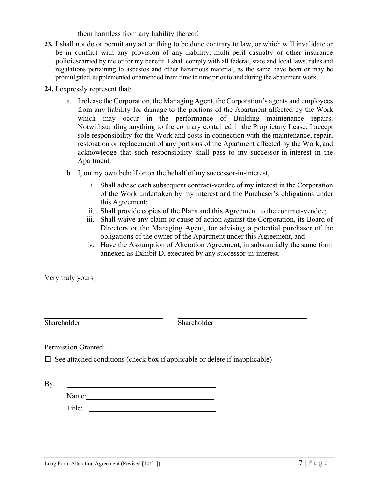them harmless from any liability thereof.

- 23. I shall not do or permit any act or thing to be done contrary to law, or which will invalidate or be in conflict with any provision of any liability, multi-peril casualty or other insurance policiescarried by me or for my benefit. I shall comply with all federal, state and local laws, rules and regulations pertaining to asbestos and other hazardous material, as the same have been or may be promulgated, supplemented or amended from time to time prior to and during the abatement work.
- 24. I expressly represent that:
	- a. I release the Corporation, the Managing Agent, the Corporation's agents and employees from any liability for damage to the portions of the Apartment affected by the Work which may occur in the performance of Building maintenance repairs. Notwithstanding anything to the contrary contained in the Proprietary Lease, I accept sole responsibility for the Work and costs in connection with the maintenance, repair, restoration or replacement of any portions of the Apartment affected by the Work, and acknowledge that such responsibility shall pass to my successor-in-interest in the Apartment.
	- b. I, on my own behalf or on the behalf of my successor-in-interest,
		- i. Shall advise each subsequent contract-vendee of my interest in the Corporation of the Work undertaken by my interest and the Purchaser's obligations under this Agreement;
		- ii. Shall provide copies of the Plans and this Agreement to the contract-vendee;
		- iii. Shall waive any claim or cause of action against the Corporation, its Board of Directors or the Managing Agent, for advising a potential purchaser of the obligations of the owner of the Apartment under this Agreement, and
		- iv. Have the Assumption of Alteration Agreement, in substantially the same form annexed as Exhibit D, executed by any successor-in-interest.

Very truly yours,

Shareholder Shareholder

Permission Granted:

 $\square$  See attached conditions (check box if applicable or delete if inapplicable)

By:

Name:

Title: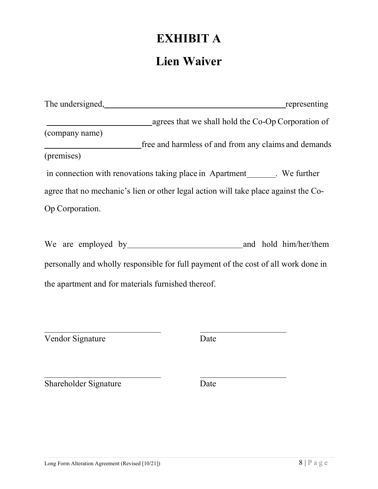# EXHIBIT A

### Lien Waiver

| The undersigned,                                                                                                                                                                                                               | representing          |
|--------------------------------------------------------------------------------------------------------------------------------------------------------------------------------------------------------------------------------|-----------------------|
| agrees that we shall hold the Co-Op Corporation of                                                                                                                                                                             |                       |
| (company name)                                                                                                                                                                                                                 |                       |
| free and harmless of and from any claims and demands                                                                                                                                                                           |                       |
| (premises)                                                                                                                                                                                                                     |                       |
| in connection with renovations taking place in Apartment Number 2014. We further                                                                                                                                               |                       |
| agree that no mechanic's lien or other legal action will take place against the Co-                                                                                                                                            |                       |
| Op Corporation.                                                                                                                                                                                                                |                       |
|                                                                                                                                                                                                                                |                       |
| We are employed by the same state of the same state of the same state of the same state of the same state of the same state of the same state of the same state of the same state of the same state of the same state of the s | and hold him/her/them |
| personally and wholly responsible for full payment of the cost of all work done in                                                                                                                                             |                       |
| the apartment and for materials furnished thereof.                                                                                                                                                                             |                       |
|                                                                                                                                                                                                                                |                       |

Vendor Signature Date

Shareholder Signature Date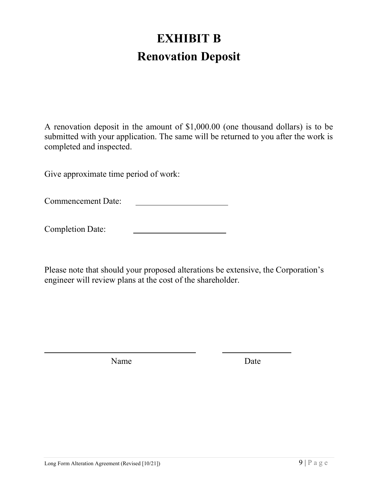## EXHIBIT B Renovation Deposit

A renovation deposit in the amount of \$1,000.00 (one thousand dollars) is to be submitted with your application. The same will be returned to you after the work is completed and inspected.

Give approximate time period of work:

Commencement Date:

Completion Date:

Please note that should your proposed alterations be extensive, the Corporation's engineer will review plans at the cost of the shareholder.

Name Date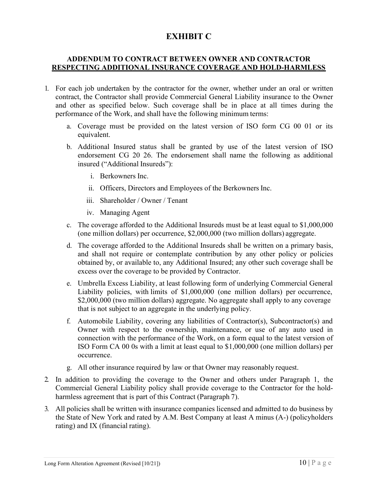### EXHIBIT C

#### ADDENDUM TO CONTRACT BETWEEN OWNER AND CONTRACTOR RESPECTING ADDITIONAL INSURANCE COVERAGE AND HOLD-HARMLESS

- 1. For each job undertaken by the contractor for the owner, whether under an oral or written contract, the Contractor shall provide Commercial General Liability insurance to the Owner and other as specified below. Such coverage shall be in place at all times during the performance of the Work, and shall have the following minimum terms:
	- a. Coverage must be provided on the latest version of ISO form CG 00 01 or its equivalent.
	- b. Additional Insured status shall be granted by use of the latest version of ISO endorsement CG 20 26. The endorsement shall name the following as additional insured ("Additional Insureds"):
		- i. Berkowners Inc.
		- ii. Officers, Directors and Employees of the Berkowners Inc.
		- iii. Shareholder / Owner / Tenant
		- iv. Managing Agent
	- c. The coverage afforded to the Additional Insureds must be at least equal to \$1,000,000 (one million dollars) per occurrence, \$2,000,000 (two million dollars) aggregate.
	- d. The coverage afforded to the Additional Insureds shall be written on a primary basis, and shall not require or contemplate contribution by any other policy or policies obtained by, or available to, any Additional Insured; any other such coverage shall be excess over the coverage to be provided by Contractor.
	- e. Umbrella Excess Liability, at least following form of underlying Commercial General Liability policies, with limits of \$1,000,000 (one million dollars) per occurrence, \$2,000,000 (two million dollars) aggregate. No aggregate shall apply to any coverage that is not subject to an aggregate in the underlying policy.
	- f. Automobile Liability, covering any liabilities of Contractor(s), Subcontractor(s) and Owner with respect to the ownership, maintenance, or use of any auto used in connection with the performance of the Work, on a form equal to the latest version of ISO Form CA 00 0s with a limit at least equal to \$1,000,000 (one million dollars) per occurrence.
	- g. All other insurance required by law or that Owner may reasonably request.
- 2. In addition to providing the coverage to the Owner and others under Paragraph 1, the Commercial General Liability policy shall provide coverage to the Contractor for the holdharmless agreement that is part of this Contract (Paragraph 7).
- 3. All policies shall be written with insurance companies licensed and admitted to do business by the State of New York and rated by A.M. Best Company at least A minus (A-) (policyholders rating) and IX (financial rating).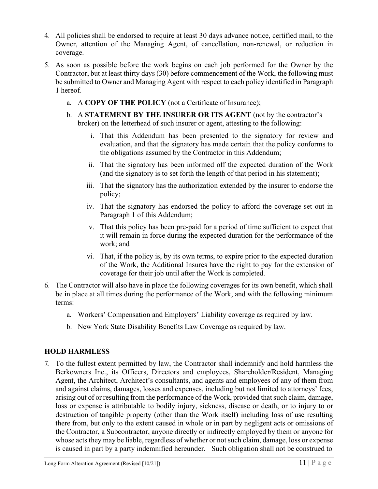- 4. All policies shall be endorsed to require at least 30 days advance notice, certified mail, to the Owner, attention of the Managing Agent, of cancellation, non-renewal, or reduction in coverage.
- 5. As soon as possible before the work begins on each job performed for the Owner by the Contractor, but at least thirty days (30) before commencement of the Work, the following must be submitted to Owner and Managing Agent with respect to each policy identified in Paragraph 1 hereof.
	- a. A COPY OF THE POLICY (not a Certificate of Insurance);
	- b. A STATEMENT BY THE INSURER OR ITS AGENT (not by the contractor's broker) on the letterhead of such insurer or agent, attesting to the following:
		- i. That this Addendum has been presented to the signatory for review and evaluation, and that the signatory has made certain that the policy conforms to the obligations assumed by the Contractor in this Addendum;
		- ii. That the signatory has been informed off the expected duration of the Work (and the signatory is to set forth the length of that period in his statement);
		- iii. That the signatory has the authorization extended by the insurer to endorse the policy;
		- iv. That the signatory has endorsed the policy to afford the coverage set out in Paragraph 1 of this Addendum;
		- v. That this policy has been pre-paid for a period of time sufficient to expect that it will remain in force during the expected duration for the performance of the work; and
		- vi. That, if the policy is, by its own terms, to expire prior to the expected duration of the Work, the Additional Insures have the right to pay for the extension of coverage for their job until after the Work is completed.
- 6. The Contractor will also have in place the following coverages for its own benefit, which shall be in place at all times during the performance of the Work, and with the following minimum terms:
	- a. Workers' Compensation and Employers' Liability coverage as required by law.
	- b. New York State Disability Benefits Law Coverage as required by law.

### HOLD HARMLESS

7. To the fullest extent permitted by law, the Contractor shall indemnify and hold harmless the Berkowners Inc., its Officers, Directors and employees, Shareholder/Resident, Managing Agent, the Architect, Architect's consultants, and agents and employees of any of them from and against claims, damages, losses and expenses, including but not limited to attorneys' fees, arising out of or resulting from the performance of the Work, provided that such claim, damage, loss or expense is attributable to bodily injury, sickness, disease or death, or to injury to or destruction of tangible property (other than the Work itself) including loss of use resulting there from, but only to the extent caused in whole or in part by negligent acts or omissions of the Contractor, a Subcontractor, anyone directly or indirectly employed by them or anyone for whose acts they may be liable, regardless of whether or not such claim, damage, loss or expense is caused in part by a party indemnified hereunder. Such obligation shall not be construed to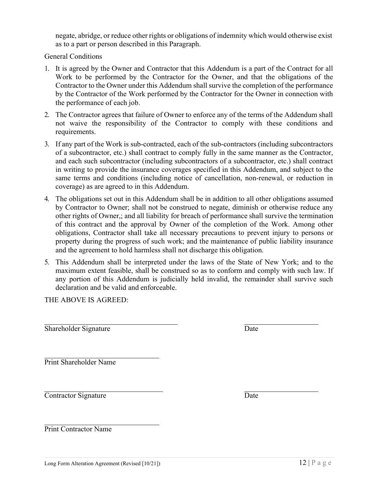negate, abridge, or reduce other rights or obligations of indemnity which would otherwise exist as to a part or person described in this Paragraph.

General Conditions

- 1. It is agreed by the Owner and Contractor that this Addendum is a part of the Contract for all Work to be performed by the Contractor for the Owner, and that the obligations of the Contractor to the Owner under this Addendum shall survive the completion of the performance by the Contractor of the Work performed by the Contractor for the Owner in connection with the performance of each job.
- 2. The Contractor agrees that failure of Owner to enforce any of the terms of the Addendum shall not waive the responsibility of the Contractor to comply with these conditions and requirements.
- 3. If any part of the Work is sub-contracted, each of the sub-contractors (including subcontractors of a subcontractor, etc.) shall contract to comply fully in the same manner as the Contractor, and each such subcontractor (including subcontractors of a subcontractor, etc.) shall contract in writing to provide the insurance coverages specified in this Addendum, and subject to the same terms and conditions (including notice of cancellation, non-renewal, or reduction in coverage) as are agreed to in this Addendum.
- 4. The obligations set out in this Addendum shall be in addition to all other obligations assumed by Contractor to Owner; shall not be construed to negate, diminish or otherwise reduce any other rights of Owner,; and all liability for breach of performance shall survive the termination of this contract and the approval by Owner of the completion of the Work. Among other obligations, Contractor shall take all necessary precautions to prevent injury to persons or property during the progress of such work; and the maintenance of public liability insurance and the agreement to hold harmless shall not discharge this obligation.
- 5. This Addendum shall be interpreted under the laws of the State of New York; and to the maximum extent feasible, shall be construed so as to conform and comply with such law. If any portion of this Addendum is judicially held invalid, the remainder shall survive such declaration and be valid and enforceable.

THE ABOVE IS AGREED:

Shareholder Signature Date

Print Shareholder Name

Contractor Signature Date

Print Contractor Name